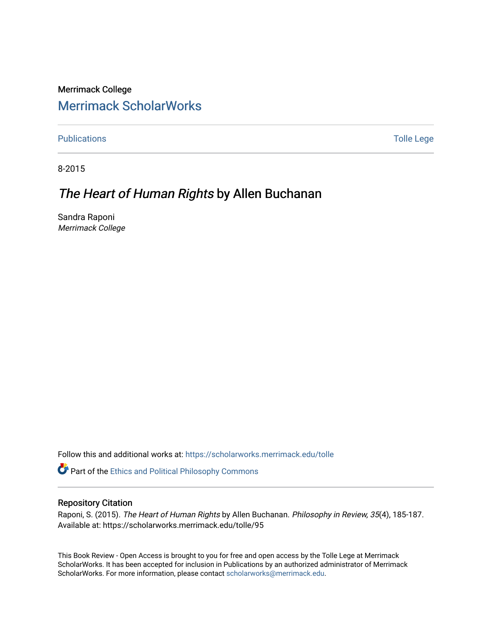Merrimack College [Merrimack ScholarWorks](https://scholarworks.merrimack.edu/) 

[Publications](https://scholarworks.merrimack.edu/tolle) **Tolle Lege** 

8-2015

## The Heart of Human Rights by Allen Buchanan

Sandra Raponi Merrimack College

Follow this and additional works at: [https://scholarworks.merrimack.edu/tolle](https://scholarworks.merrimack.edu/tolle?utm_source=scholarworks.merrimack.edu%2Ftolle%2F95&utm_medium=PDF&utm_campaign=PDFCoverPages) 

Part of the [Ethics and Political Philosophy Commons](http://network.bepress.com/hgg/discipline/529?utm_source=scholarworks.merrimack.edu%2Ftolle%2F95&utm_medium=PDF&utm_campaign=PDFCoverPages) 

## Repository Citation

Raponi, S. (2015). The Heart of Human Rights by Allen Buchanan. Philosophy in Review, 35(4), 185-187. Available at: https://scholarworks.merrimack.edu/tolle/95

This Book Review - Open Access is brought to you for free and open access by the Tolle Lege at Merrimack ScholarWorks. It has been accepted for inclusion in Publications by an authorized administrator of Merrimack ScholarWorks. For more information, please contact [scholarworks@merrimack.edu.](mailto:scholarworks@merrimack.edu)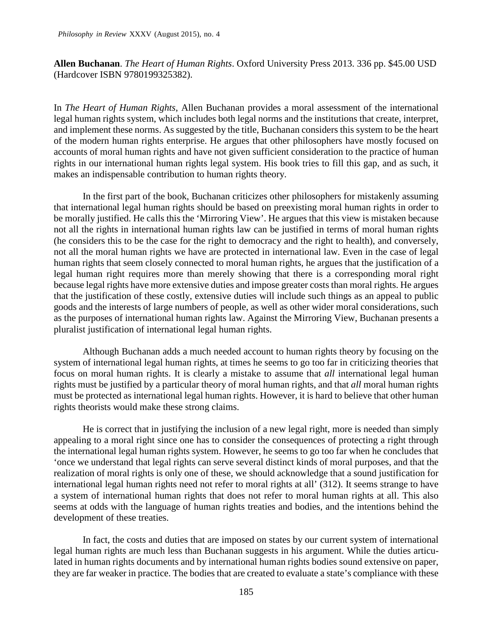**Allen Buchanan**. *The Heart of Human Rights*. Oxford University Press 2013. 336 pp. \$45.00 USD (Hardcover ISBN 9780199325382).

In *The Heart of Human Rights*, Allen Buchanan provides a moral assessment of the international legal human rights system, which includes both legal norms and the institutions that create, interpret, and implement these norms. As suggested by the title, Buchanan considers this system to be the heart of the modern human rights enterprise. He argues that other philosophers have mostly focused on accounts of moral human rights and have not given sufficient consideration to the practice of human rights in our international human rights legal system. His book tries to fill this gap, and as such, it makes an indispensable contribution to human rights theory.

In the first part of the book, Buchanan criticizes other philosophers for mistakenly assuming that international legal human rights should be based on preexisting moral human rights in order to be morally justified. He calls this the 'Mirroring View'. He argues that this view is mistaken because not all the rights in international human rights law can be justified in terms of moral human rights (he considers this to be the case for the right to democracy and the right to health), and conversely, not all the moral human rights we have are protected in international law. Even in the case of legal human rights that seem closely connected to moral human rights, he argues that the justification of a legal human right requires more than merely showing that there is a corresponding moral right because legal rights have more extensive duties and impose greater costs than moral rights. He argues that the justification of these costly, extensive duties will include such things as an appeal to public goods and the interests of large numbers of people, as well as other wider moral considerations, such as the purposes of international human rights law. Against the Mirroring View, Buchanan presents a pluralist justification of international legal human rights.

Although Buchanan adds a much needed account to human rights theory by focusing on the system of international legal human rights, at times he seems to go too far in criticizing theories that focus on moral human rights. It is clearly a mistake to assume that *all* international legal human rights must be justified by a particular theory of moral human rights, and that *all* moral human rights must be protected as international legal human rights. However, it is hard to believe that other human rights theorists would make these strong claims.

He is correct that in justifying the inclusion of a new legal right, more is needed than simply appealing to a moral right since one has to consider the consequences of protecting a right through the international legal human rights system. However, he seems to go too far when he concludes that 'once we understand that legal rights can serve several distinct kinds of moral purposes, and that the realization of moral rights is only one of these, we should acknowledge that a sound justification for international legal human rights need not refer to moral rights at all' (312). It seems strange to have a system of international human rights that does not refer to moral human rights at all. This also seems at odds with the language of human rights treaties and bodies, and the intentions behind the development of these treaties.

In fact, the costs and duties that are imposed on states by our current system of international legal human rights are much less than Buchanan suggests in his argument. While the duties articulated in human rights documents and by international human rights bodies sound extensive on paper, they are far weaker in practice. The bodies that are created to evaluate a state's compliance with these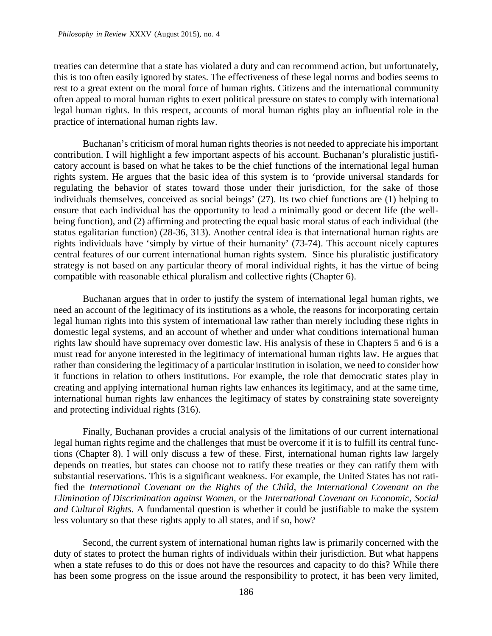treaties can determine that a state has violated a duty and can recommend action, but unfortunately, this is too often easily ignored by states. The effectiveness of these legal norms and bodies seems to rest to a great extent on the moral force of human rights. Citizens and the international community often appeal to moral human rights to exert political pressure on states to comply with international legal human rights. In this respect, accounts of moral human rights play an influential role in the practice of international human rights law.

Buchanan's criticism of moral human rights theories is not needed to appreciate his important contribution. I will highlight a few important aspects of his account. Buchanan's pluralistic justificatory account is based on what he takes to be the chief functions of the international legal human rights system. He argues that the basic idea of this system is to 'provide universal standards for regulating the behavior of states toward those under their jurisdiction, for the sake of those individuals themselves, conceived as social beings' (27). Its two chief functions are (1) helping to ensure that each individual has the opportunity to lead a minimally good or decent life (the wellbeing function), and (2) affirming and protecting the equal basic moral status of each individual (the status egalitarian function) (28-36, 313). Another central idea is that international human rights are rights individuals have 'simply by virtue of their humanity' (73-74). This account nicely captures central features of our current international human rights system. Since his pluralistic justificatory strategy is not based on any particular theory of moral individual rights, it has the virtue of being compatible with reasonable ethical pluralism and collective rights (Chapter 6).

Buchanan argues that in order to justify the system of international legal human rights, we need an account of the legitimacy of its institutions as a whole, the reasons for incorporating certain legal human rights into this system of international law rather than merely including these rights in domestic legal systems, and an account of whether and under what conditions international human rights law should have supremacy over domestic law. His analysis of these in Chapters 5 and 6 is a must read for anyone interested in the legitimacy of international human rights law. He argues that rather than considering the legitimacy of a particular institution in isolation, we need to consider how it functions in relation to others institutions. For example, the role that democratic states play in creating and applying international human rights law enhances its legitimacy, and at the same time, international human rights law enhances the legitimacy of states by constraining state sovereignty and protecting individual rights (316).

Finally, Buchanan provides a crucial analysis of the limitations of our current international legal human rights regime and the challenges that must be overcome if it is to fulfill its central functions (Chapter 8). I will only discuss a few of these. First, international human rights law largely depends on treaties, but states can choose not to ratify these treaties or they can ratify them with substantial reservations. This is a significant weakness. For example, the United States has not ratified the *International Covenant on the Rights of the Child, the International Covenant on the Elimination of Discrimination against Women,* or the *International Covenant on Economic, Social and Cultural Rights*. A fundamental question is whether it could be justifiable to make the system less voluntary so that these rights apply to all states, and if so, how?

Second, the current system of international human rights law is primarily concerned with the duty of states to protect the human rights of individuals within their jurisdiction. But what happens when a state refuses to do this or does not have the resources and capacity to do this? While there has been some progress on the issue around the responsibility to protect, it has been very limited,